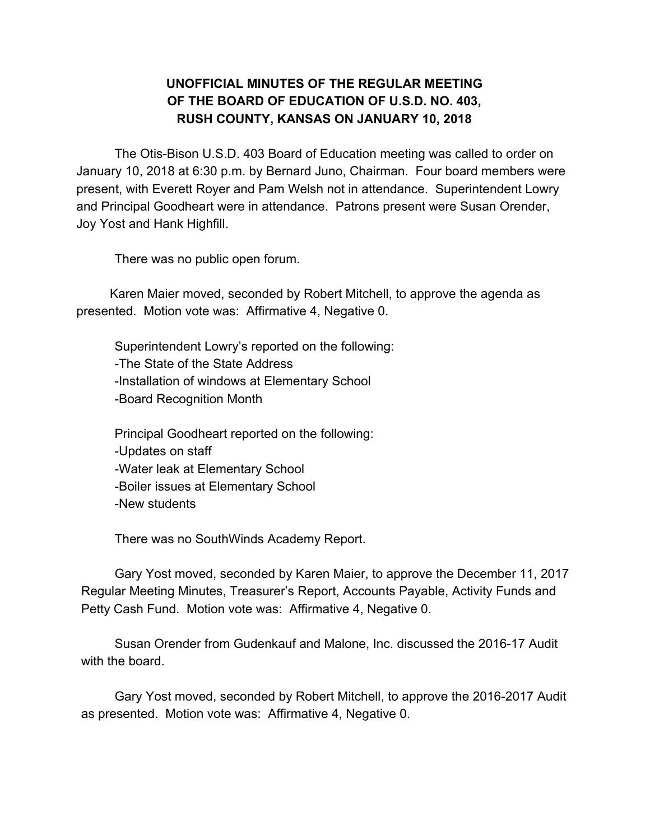## **UNOFFICIAL MINUTES OF THE REGULAR MEETING OF THE BOARD OF EDUCATION OF U.S.D. NO. 403, RUSH COUNTY, KANSAS ON JANUARY 10, 2018**

The Otis-Bison U.S.D. 403 Board of Education meeting was called to order on January 10, 2018 at 6:30 p.m. by Bernard Juno, Chairman. Four board members were present, with Everett Royer and Pam Welsh not in attendance. Superintendent Lowry and Principal Goodheart were in attendance. Patrons present were Susan Orender, Joy Yost and Hank Highfill.

There was no public open forum.

Karen Maier moved, seconded by Robert Mitchell, to approve the agenda as presented. Motion vote was: Affirmative 4, Negative 0.

Superintendent Lowry's reported on the following: -The State of the State Address -Installation of windows at Elementary School -Board Recognition Month

Principal Goodheart reported on the following: -Updates on staff -Water leak at Elementary School -Boiler issues at Elementary School -New students

There was no SouthWinds Academy Report.

Gary Yost moved, seconded by Karen Maier, to approve the December 11, 2017 Regular Meeting Minutes, Treasurer's Report, Accounts Payable, Activity Funds and Petty Cash Fund. Motion vote was: Affirmative 4, Negative 0.

Susan Orender from Gudenkauf and Malone, Inc. discussed the 2016-17 Audit with the board.

Gary Yost moved, seconded by Robert Mitchell, to approve the 2016-2017 Audit as presented. Motion vote was: Affirmative 4, Negative 0.